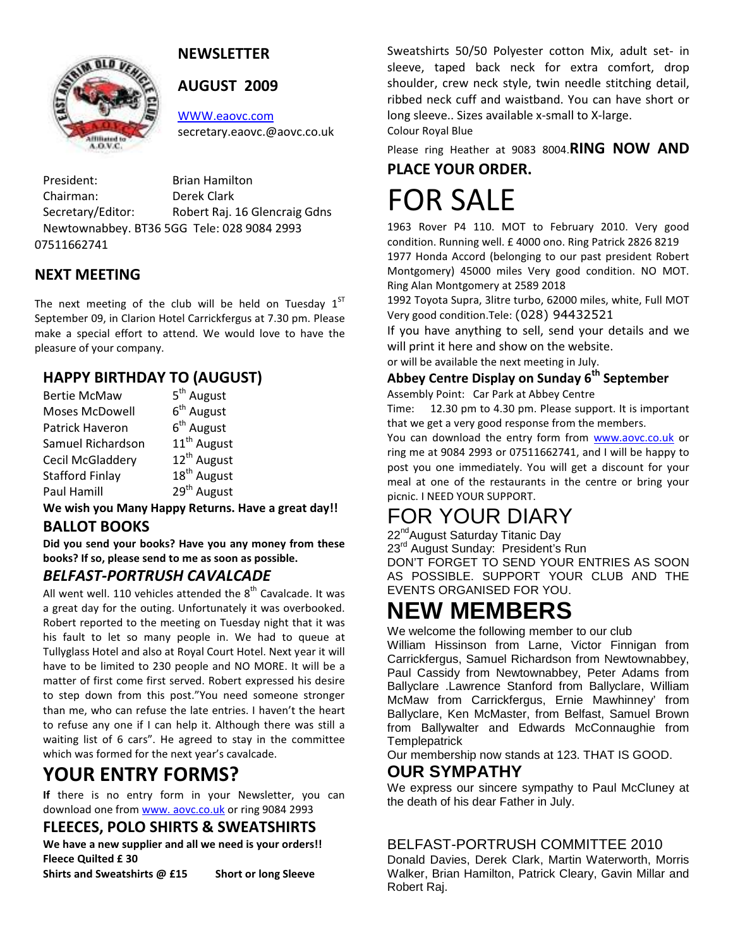

## NEWSLETTER

#### AUGUST 2009

WWW.eaovc.com secretary.eaovc.@aovc.co.uk

President: Brian Hamilton Chairman: Derek Clark Secretary/Editor: Robert Raj. 16 Glencraig Gdns Newtownabbey. BT36 5GG Tele: 028 9084 2993 07511662741

## NEXT MEETING

The next meeting of the club will be held on Tuesday  $1<sup>ST</sup>$ September 09, in Clarion Hotel Carrickfergus at 7.30 pm. Please make a special effort to attend. We would love to have the pleasure of your company.

## HAPPY BIRTHDAY TO (AUGUST)

| <b>Bertie McMaw</b>     | 5 <sup>th</sup> August  |
|-------------------------|-------------------------|
| Moses McDowell          | $6th$ August            |
| Patrick Haveron         | $6th$ August            |
| Samuel Richardson       | 11 <sup>th</sup> August |
| <b>Cecil McGladdery</b> | 12 <sup>th</sup> August |
| <b>Stafford Finlay</b>  | 18 <sup>th</sup> August |
| Paul Hamill             | 29 <sup>th</sup> August |

We wish you Many Happy Returns. Have a great day!! BALLOT BOOKS

Did you send your books? Have you any money from these books? If so, please send to me as soon as possible.

#### BELFAST-PORTRUSH CAVALCADE

All went well. 110 vehicles attended the  $8<sup>th</sup>$  Cavalcade. It was a great day for the outing. Unfortunately it was overbooked. Robert reported to the meeting on Tuesday night that it was his fault to let so many people in. We had to queue at Tullyglass Hotel and also at Royal Court Hotel. Next year it will have to be limited to 230 people and NO MORE. It will be a matter of first come first served. Robert expressed his desire to step down from this post."You need someone stronger than me, who can refuse the late entries. I haven't the heart to refuse any one if I can help it. Although there was still a waiting list of 6 cars". He agreed to stay in the committee which was formed for the next year's cavalcade.

## YOUR ENTRY FORMS?

If there is no entry form in your Newsletter, you can download one from www. aovc.co.uk or ring 9084 2993

#### FLEECES, POLO SHIRTS & SWEATSHIRTS

We have a new supplier and all we need is your orders!! Fleece Quilted £ 30

Shirts and Sweatshirts @ £15 Short or long Sleeve

Sweatshirts 50/50 Polyester cotton Mix, adult set- in sleeve, taped back neck for extra comfort, drop shoulder, crew neck style, twin needle stitching detail, ribbed neck cuff and waistband. You can have short or long sleeve.. Sizes available x-small to X-large. Colour Royal Blue

Please ring Heather at 9083 8004. RING NOW AND PLACE YOUR ORDER.

# FOR SALE

1963 Rover P4 110. MOT to February 2010. Very good condition. Running well. £ 4000 ono. Ring Patrick 2826 8219 1977 Honda Accord (belonging to our past president Robert Montgomery) 45000 miles Very good condition. NO MOT. Ring Alan Montgomery at 2589 2018

1992 Toyota Supra, 3litre turbo, 62000 miles, white, Full MOT Very good condition.Tele: (028) 94432521

If you have anything to sell, send your details and we will print it here and show on the website.

or will be available the next meeting in July.

#### Abbey Centre Display on Sunday 6<sup>th</sup> September

Assembly Point: Car Park at Abbey Centre

Time: 12.30 pm to 4.30 pm. Please support. It is important that we get a very good response from the members.

You can download the entry form from www.aovc.co.uk or ring me at 9084 2993 or 07511662741, and I will be happy to post you one immediately. You will get a discount for your meal at one of the restaurants in the centre or bring your picnic. I NEED YOUR SUPPORT.

## FOR YOUR DIARY

22<sup>nd</sup>August Saturday Titanic Day

23<sup>rd</sup> August Sunday: President's Run DON'T FORGET TO SEND YOUR ENTRIES AS SOON AS POSSIBLE. SUPPORT YOUR CLUB AND THE

### EVENTS ORGANISED FOR YOU. **NEW MEMBERS**

We welcome the following member to our club

William Hissinson from Larne, Victor Finnigan from Carrickfergus, Samuel Richardson from Newtownabbey, Paul Cassidy from Newtownabbey, Peter Adams from Ballyclare .Lawrence Stanford from Ballyclare, William McMaw from Carrickfergus, Ernie Mawhinney' from Ballyclare, Ken McMaster, from Belfast, Samuel Brown from Ballywalter and Edwards McConnaughie from **Templepatrick** 

Our membership now stands at 123. THAT IS GOOD.

#### **OUR SYMPATHY**

We express our sincere sympathy to Paul McCluney at the death of his dear Father in July.

#### BELFAST-PORTRUSH COMMITTEE 2010

Donald Davies, Derek Clark, Martin Waterworth, Morris Walker, Brian Hamilton, Patrick Cleary, Gavin Millar and Robert Raj.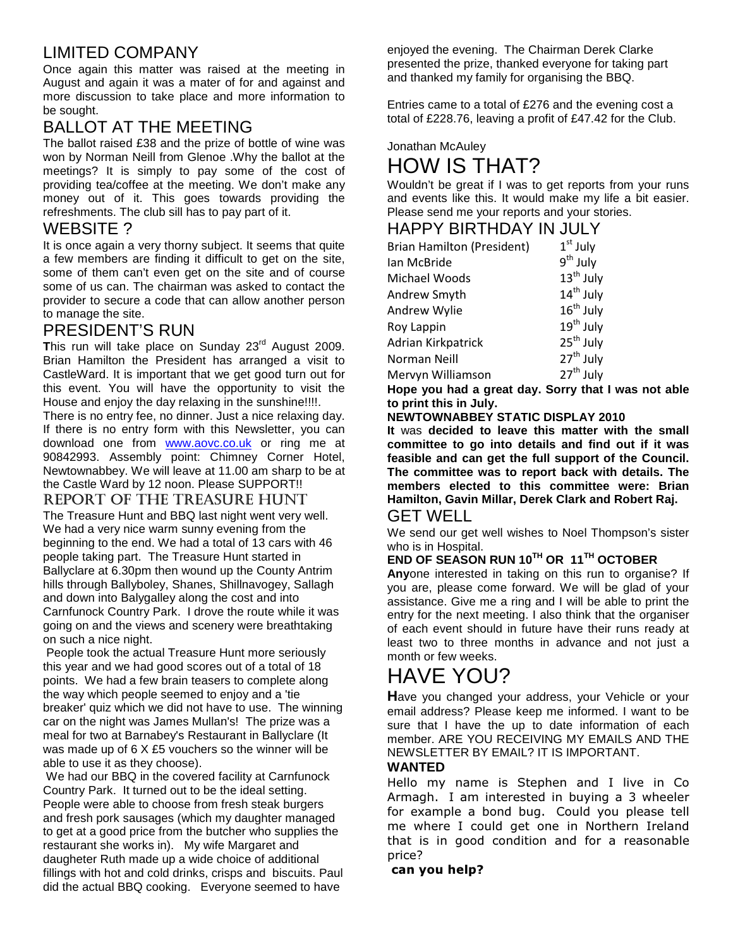## LIMITED COMPANY

Once again this matter was raised at the meeting in August and again it was a mater of for and against and more discussion to take place and more information to be sought.

## BALLOT AT THE MEETING

The ballot raised £38 and the prize of bottle of wine was won by Norman Neill from Glenoe .Why the ballot at the meetings? It is simply to pay some of the cost of providing tea/coffee at the meeting. We don't make any money out of it. This goes towards providing the refreshments. The club sill has to pay part of it.

### WEBSITE ?

It is once again a very thorny subject. It seems that quite a few members are finding it difficult to get on the site, some of them can't even get on the site and of course some of us can. The chairman was asked to contact the provider to secure a code that can allow another person to manage the site.

### PRESIDENT'S RUN

This run will take place on Sunday 23<sup>rd</sup> August 2009. Brian Hamilton the President has arranged a visit to CastleWard. It is important that we get good turn out for this event. You will have the opportunity to visit the House and enjoy the day relaxing in the sunshine!!!!.

There is no entry fee, no dinner. Just a nice relaxing day. If there is no entry form with this Newsletter, you can download one from www.aovc.co.uk or ring me at 90842993. Assembly point: Chimney Corner Hotel, Newtownabbey. We will leave at 11.00 am sharp to be at the Castle Ward by 12 noon. Please SUPPORT!!

#### REPORT OF THE TREASURE HUNT

The Treasure Hunt and BBQ last night went very well. We had a very nice warm sunny evening from the beginning to the end. We had a total of 13 cars with 46 people taking part. The Treasure Hunt started in Ballyclare at 6.30pm then wound up the County Antrim hills through Ballyboley, Shanes, Shillnavogey, Sallagh and down into Balygalley along the cost and into Carnfunock Country Park. I drove the route while it was going on and the views and scenery were breathtaking on such a nice night.

 People took the actual Treasure Hunt more seriously this year and we had good scores out of a total of 18 points. We had a few brain teasers to complete along the way which people seemed to enjoy and a 'tie breaker' quiz which we did not have to use. The winning car on the night was James Mullan's! The prize was a meal for two at Barnabey's Restaurant in Ballyclare (It was made up of 6 X £5 vouchers so the winner will be able to use it as they choose).

 We had our BBQ in the covered facility at Carnfunock Country Park. It turned out to be the ideal setting. People were able to choose from fresh steak burgers and fresh pork sausages (which my daughter managed to get at a good price from the butcher who supplies the restaurant she works in). My wife Margaret and daugheter Ruth made up a wide choice of additional fillings with hot and cold drinks, crisps and biscuits. Paul did the actual BBQ cooking. Everyone seemed to have

enjoyed the evening. The Chairman Derek Clarke presented the prize, thanked everyone for taking part and thanked my family for organising the BBQ.

Entries came to a total of £276 and the evening cost a total of £228.76, leaving a profit of £47.42 for the Club.

## Jonathan McAuley HOW IS THAT?

Wouldn't be great if I was to get reports from your runs and events like this. It would make my life a bit easier. Please send me your reports and your stories.

## HAPPY BIRTHDAY IN JULY

| <b>Brian Hamilton (President)</b> | $1st$ July            |
|-----------------------------------|-----------------------|
| lan McBride                       | $9th$ July            |
| Michael Woods                     | 13 <sup>th</sup> July |
| Andrew Smyth                      | 14 <sup>th</sup> July |
| Andrew Wylie                      | $16th$ July           |
| Roy Lappin                        | $19th$ July           |
| Adrian Kirkpatrick                | 25 <sup>th</sup> July |
| Norman Neill                      | $27th$ July           |
| Mervyn Williamson                 | 27 <sup>th</sup> July |
|                                   |                       |

**Hope you had a great day. Sorry that I was not able to print this in July.** 

#### **NEWTOWNABBEY STATIC DISPLAY 2010**

**It** was **decided to leave this matter with the small committee to go into details and find out if it was feasible and can get the full support of the Council. The committee was to report back with details. The members elected to this committee were: Brian Hamilton, Gavin Millar, Derek Clark and Robert Raj.** 

#### GET WELL

We send our get well wishes to Noel Thompson's sister who is in Hospital.

#### **END OF SEASON RUN 10TH OR 11TH OCTOBER**

**Any**one interested in taking on this run to organise? If you are, please come forward. We will be glad of your assistance. Give me a ring and I will be able to print the entry for the next meeting. I also think that the organiser of each event should in future have their runs ready at least two to three months in advance and not just a month or few weeks.

## HAVE YOU?

**H**ave you changed your address, your Vehicle or your email address? Please keep me informed. I want to be sure that I have the up to date information of each member. ARE YOU RECEIVING MY EMAILS AND THE NEWSLETTER BY EMAIL? IT IS IMPORTANT.

#### **WANTED**

Hello my name is Stephen and I live in Co Armagh. I am interested in buying a 3 wheeler for example a bond bug. Could you please tell me where I could get one in Northern Ireland that is in good condition and for a reasonable price?

#### can you help?